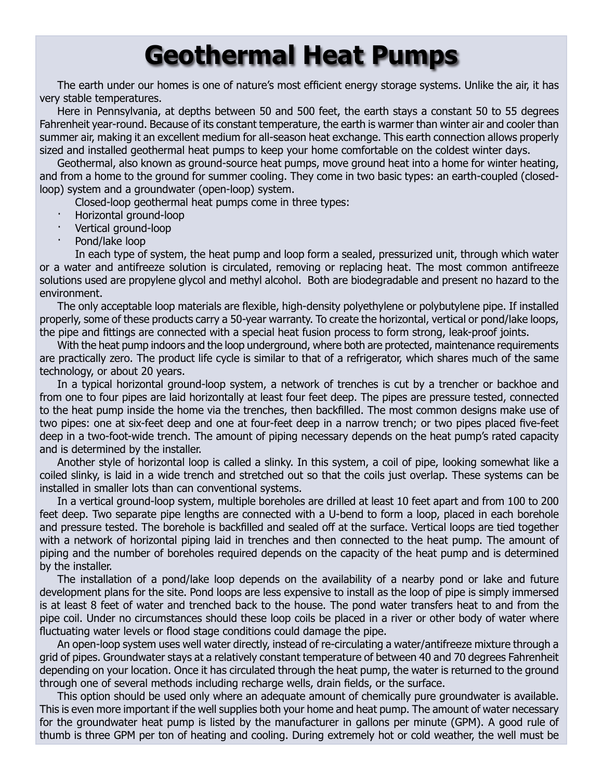## **Geothermal Heat Pumps**

The earth under our homes is one of nature's most efficient energy storage systems. Unlike the air, it has very stable temperatures.

Here in Pennsylvania, at depths between 50 and 500 feet, the earth stays a constant 50 to 55 degrees Fahrenheit year-round. Because of its constant temperature, the earth is warmer than winter air and cooler than summer air, making it an excellent medium for all-season heat exchange. This earth connection allows properly sized and installed geothermal heat pumps to keep your home comfortable on the coldest winter days.

Geothermal, also known as ground-source heat pumps, move ground heat into a home for winter heating, and from a home to the ground for summer cooling. They come in two basic types: an earth-coupled (closedloop) system and a groundwater (open-loop) system.

Closed-loop geothermal heat pumps come in three types:

- · Horizontal ground-loop
- · Vertical ground-loop
- Pond/lake loop

In each type of system, the heat pump and loop form a sealed, pressurized unit, through which water or a water and antifreeze solution is circulated, removing or replacing heat. The most common antifreeze solutions used are propylene glycol and methyl alcohol. Both are biodegradable and present no hazard to the environment.

The only acceptable loop materials are flexible, high-density polyethylene or polybutylene pipe. If installed properly, some of these products carry a 50-year warranty. To create the horizontal, vertical or pond/lake loops, the pipe and fittings are connected with a special heat fusion process to form strong, leak-proof joints.

With the heat pump indoors and the loop underground, where both are protected, maintenance requirements are practically zero. The product life cycle is similar to that of a refrigerator, which shares much of the same technology, or about 20 years.

In a typical horizontal ground-loop system, a network of trenches is cut by a trencher or backhoe and from one to four pipes are laid horizontally at least four feet deep. The pipes are pressure tested, connected to the heat pump inside the home via the trenches, then backfilled. The most common designs make use of two pipes: one at six-feet deep and one at four-feet deep in a narrow trench; or two pipes placed five-feet deep in a two-foot-wide trench. The amount of piping necessary depends on the heat pump's rated capacity and is determined by the installer.

Another style of horizontal loop is called a slinky. In this system, a coil of pipe, looking somewhat like a coiled slinky, is laid in a wide trench and stretched out so that the coils just overlap. These systems can be installed in smaller lots than can conventional systems.

In a vertical ground-loop system, multiple boreholes are drilled at least 10 feet apart and from 100 to 200 feet deep. Two separate pipe lengths are connected with a U-bend to form a loop, placed in each borehole and pressure tested. The borehole is backfilled and sealed off at the surface. Vertical loops are tied together with a network of horizontal piping laid in trenches and then connected to the heat pump. The amount of piping and the number of boreholes required depends on the capacity of the heat pump and is determined by the installer.

The installation of a pond/lake loop depends on the availability of a nearby pond or lake and future development plans for the site. Pond loops are less expensive to install as the loop of pipe is simply immersed is at least 8 feet of water and trenched back to the house. The pond water transfers heat to and from the pipe coil. Under no circumstances should these loop coils be placed in a river or other body of water where fluctuating water levels or flood stage conditions could damage the pipe.

An open-loop system uses well water directly, instead of re-circulating a water/antifreeze mixture through a grid of pipes. Groundwater stays at a relatively constant temperature of between 40 and 70 degrees Fahrenheit depending on your location. Once it has circulated through the heat pump, the water is returned to the ground through one of several methods including recharge wells, drain fields, or the surface.

This option should be used only where an adequate amount of chemically pure groundwater is available. This is even more important if the well supplies both your home and heat pump. The amount of water necessary for the groundwater heat pump is listed by the manufacturer in gallons per minute (GPM). A good rule of thumb is three GPM per ton of heating and cooling. During extremely hot or cold weather, the well must be